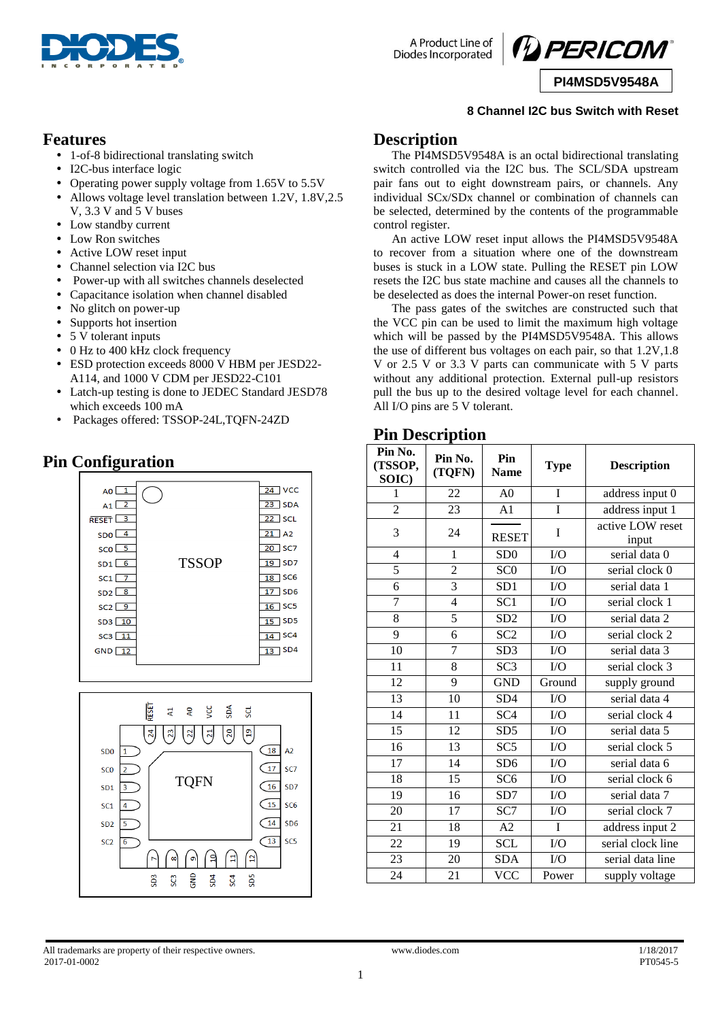

A Product Line of **Diodes Incorporated** 



**PI4MSD5V9548A**

#### **8 Channel I2C bus Switch with Reset**

#### **Features**

- 1-of-8 bidirectional translating switch
- I2C-bus interface logic
- Operating power supply voltage from 1.65V to 5.5V
- Allows voltage level translation between 1.2V, 1.8V,2.5 V, 3.3 V and 5 V buses
- Low standby current
- Low Ron switches
- Active LOW reset input
- Channel selection via I2C bus
- Power-up with all switches channels deselected
- Capacitance isolation when channel disabled
- No glitch on power-up
- Supports hot insertion
- 5 V tolerant inputs
- 0 Hz to 400 kHz clock frequency
- ESD protection exceeds 8000 V HBM per JESD22- A114, and 1000 V CDM per JESD22-C101
- Latch-up testing is done to JEDEC Standard JESD78 which exceeds 100 mA
- Packages offered: TSSOP-24L,TQFN-24ZD

## **Pin Configuration**





## **Description**

The PI4MSD5V9548A is an octal bidirectional translating switch controlled via the I2C bus. The SCL/SDA upstream pair fans out to eight downstream pairs, or channels. Any individual SCx/SDx channel or combination of channels can be selected, determined by the contents of the programmable control register.

An active LOW reset input allows the PI4MSD5V9548A to recover from a situation where one of the downstream buses is stuck in a LOW state. Pulling the RESET pin LOW resets the I2C bus state machine and causes all the channels to be deselected as does the internal Power-on reset function.

The pass gates of the switches are constructed such that the VCC pin can be used to limit the maximum high voltage which will be passed by the PI4MSD5V9548A. This allows the use of different bus voltages on each pair, so that 1.2V,1.8 V or 2.5 V or 3.3 V parts can communicate with 5 V parts without any additional protection. External pull-up resistors pull the bus up to the desired voltage level for each channel. All I/O pins are 5 V tolerant.

#### **Pin Description**

| Pin No.<br>(TSSOP,<br>SOIC) | Pin No.<br>(TQFN) | Pin<br><b>Name</b> | <b>Type</b>     | <b>Description</b>        |
|-----------------------------|-------------------|--------------------|-----------------|---------------------------|
| 1                           | 22                | A <sub>0</sub>     | $\mathbf I$     | address input 0           |
| $\overline{2}$              | 23                | A1                 | Ī               | address input 1           |
| 3                           | 24                | <b>RESET</b>       | I               | active LOW reset<br>input |
| $\overline{4}$              | $\mathbf{1}$      | SD <sub>0</sub>    | I/O             | serial data 0             |
| 5                           | $\overline{2}$    | SCO                | $\overline{IO}$ | serial clock 0            |
| $\overline{6}$              | $\overline{3}$    | SD1                | I/O             | serial data 1             |
| $\overline{7}$              | $\overline{4}$    | SC <sub>1</sub>    | I/O             | serial clock 1            |
| 8                           | $\overline{5}$    | SD2                | I/O             | serial data 2             |
| 9                           | 6                 | SC <sub>2</sub>    | I/O             | serial clock 2            |
| 10                          | $\overline{7}$    | SD <sub>3</sub>    | I/O             | serial data 3             |
| 11                          | 8                 | $\overline{SC3}$   | I/O             | serial clock 3            |
| 12                          | 9                 | <b>GND</b>         | Ground          | supply ground             |
| 13                          | 10                | SD <sub>4</sub>    | I/O             | serial data 4             |
| $\overline{14}$             | 11                | $\overline{SC4}$   | $\overline{IO}$ | serial clock 4            |
| 15                          | 12                | SD5                | I/O             | serial data 5             |
| 16                          | 13                | SC5                | I/O             | serial clock 5            |
| $\overline{17}$             | 14                | SD <sub>6</sub>    | $\overline{IO}$ | serial data 6             |
| 18                          | 15                | SC <sub>6</sub>    | I/O             | serial clock 6            |
| 19                          | 16                | SD7                | I/O             | serial data 7             |
| 20                          | 17                | SC7                | I/O             | serial clock 7            |
| 21                          | 18                | A2                 | I               | address input 2           |
| 22                          | 19                | <b>SCL</b>         | ${\rm I/O}$     | serial clock line         |
| 23                          | 20                | <b>SDA</b>         | I/O             | serial data line          |
| 24                          | 21                | <b>VCC</b>         | Power           | supply voltage            |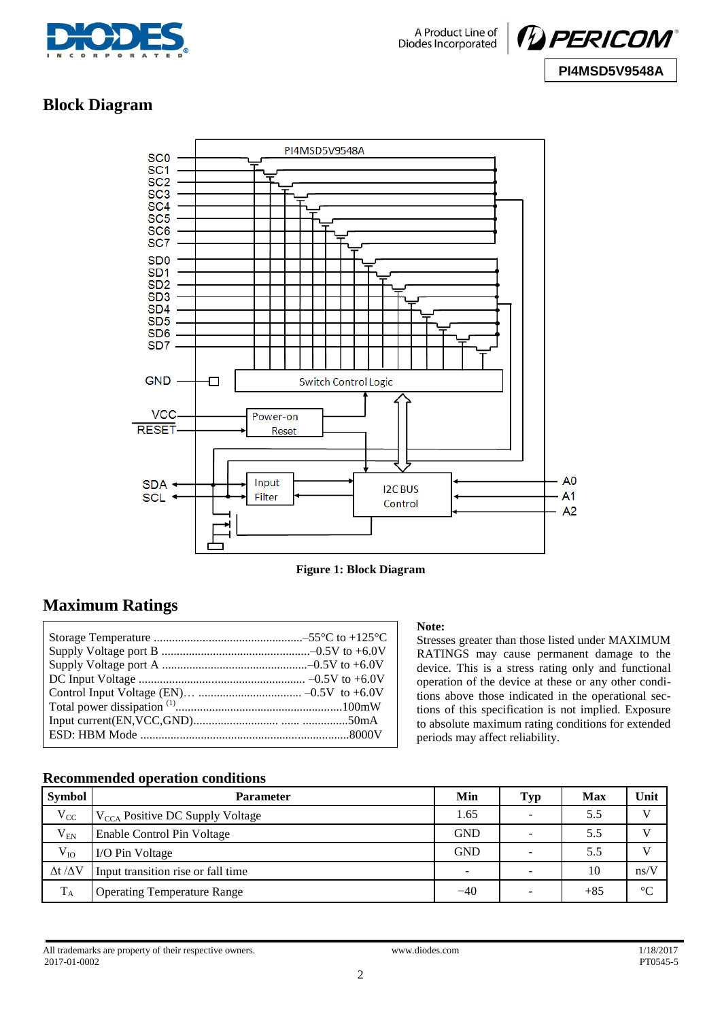



## **Block Diagram**



**Figure 1: Block Diagram**

## **Maximum Ratings**

#### **Note:**

Stresses greater than those listed under MAXIMUM RATINGS may cause permanent damage to the device. This is a stress rating only and functional operation of the device at these or any other conditions above those indicated in the operational sections of this specification is not implied. Exposure to absolute maximum rating conditions for extended periods may affect reliability.

#### **Recommended operation conditions**

| Symbol                | <b>Parameter</b>                            | Min                      | <b>Typ</b> | Max   | Unit         |
|-----------------------|---------------------------------------------|--------------------------|------------|-------|--------------|
| $V_{CC}$              | $V_{\text{CCA}}$ Positive DC Supply Voltage | 1.65                     | -          | 5.5   | $\mathbf{V}$ |
| $V_{EN}$              | Enable Control Pin Voltage                  | <b>GND</b>               |            | 5.5   |              |
| $V_{IO}$              | I/O Pin Voltage                             | <b>GND</b>               | -          | 5.5   |              |
| $\Delta t / \Delta V$ | Input transition rise or fall time          | $\overline{\phantom{a}}$ | -          | 10    | ns/V         |
| $T_A$                 | <b>Operating Temperature Range</b>          | $-40$                    |            | $+85$ | C            |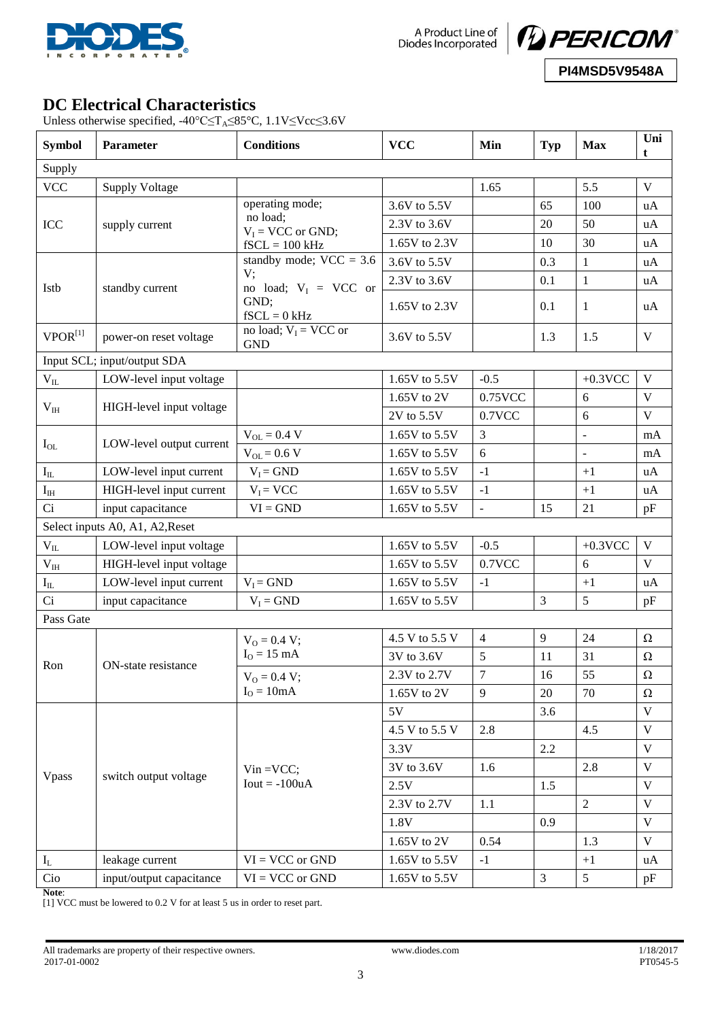

A Product Line of<br>Diodes Incorporated



## **DC Electrical Characteristics**

Unless otherwise specified, -40°C≤T<sub>A</sub>≤85°C, 1.1V≤Vcc≤3.6V

| <b>Symbol</b>            | Parameter                       | <b>Conditions</b>                                 | <b>VCC</b>     | Min            | <b>Typ</b>     | <b>Max</b>      | Uni<br>t     |  |  |
|--------------------------|---------------------------------|---------------------------------------------------|----------------|----------------|----------------|-----------------|--------------|--|--|
| Supply                   |                                 |                                                   |                |                |                |                 |              |  |  |
| <b>VCC</b>               | <b>Supply Voltage</b>           |                                                   |                | 1.65           |                | 5.5             | V            |  |  |
|                          |                                 | operating mode;                                   | 3.6V to 5.5V   |                | 65             | 100             | uA           |  |  |
| ICC                      | supply current                  | no load;<br>$V_I$ = VCC or GND;                   | 2.3V to 3.6V   |                | 20             | 50              | uA           |  |  |
|                          |                                 | $fSCL = 100$ kHz                                  | 1.65V to 2.3V  |                | 10             | 30              | uA           |  |  |
|                          |                                 | standby mode; $VCC = 3.6$                         | 3.6V to 5.5V   |                | 0.3            | $\mathbf{1}$    | uA           |  |  |
|                          |                                 | V;                                                | 2.3V to 3.6V   |                | 0.1            | $\mathbf{1}$    | uA           |  |  |
| Istb                     | standby current                 | no load; $V_I$ = VCC or<br>GND;<br>$fSCL = 0$ kHz | 1.65V to 2.3V  |                | 0.1            | $\mathbf{1}$    | uA           |  |  |
| $VPOR^{[1]}$             | power-on reset voltage          | no load; $V_I$ = VCC or<br><b>GND</b>             | 3.6V to 5.5V   |                | 1.3            | 1.5             | $\mathbf V$  |  |  |
|                          | Input SCL; input/output SDA     |                                                   |                |                |                |                 |              |  |  |
| $\rm V_{II}$             | LOW-level input voltage         |                                                   | 1.65V to 5.5V  | $-0.5$         |                | $+0.3$ VCC      | $\mathbf{V}$ |  |  |
|                          |                                 |                                                   | 1.65V to 2V    | 0.75VCC        |                | 6               | V            |  |  |
| $V_{IH}$                 | HIGH-level input voltage        |                                                   | 2V to 5.5V     | 0.7VCC         |                | 6               | $\mathbf V$  |  |  |
|                          |                                 | $V_{OL} = 0.4 V$                                  | 1.65V to 5.5V  | 3              |                | ÷,              | mA           |  |  |
| $I_{OL}$                 | LOW-level output current        | $V_{OL} = 0.6 V$                                  | 1.65V to 5.5V  | 6              |                | $\frac{1}{2}$   | mA           |  |  |
| $\mathbf{I}_{\rm IL}$    | LOW-level input current         | $V_I = GND$                                       | 1.65V to 5.5V  | $-1$           |                | $+1$            | uA           |  |  |
| $\mathbf{I}_{\text{IH}}$ | HIGH-level input current        | $V_I = VCC$                                       | 1.65V to 5.5V  | $-1$           |                | $+1$            | uA           |  |  |
| Ci                       | input capacitance               | $VI = GND$                                        | 1.65V to 5.5V  | $\overline{a}$ | 15             | 21              | pF           |  |  |
|                          | Select inputs A0, A1, A2, Reset |                                                   |                |                |                |                 |              |  |  |
| $\rm V_{II}$             | LOW-level input voltage         |                                                   | 1.65V to 5.5V  | $-0.5$         |                | $+0.3$ VCC      | V            |  |  |
| $\rm V_{\rm IH}$         | HIGH-level input voltage        |                                                   | 1.65V to 5.5V  | 0.7VCC         |                | 6               | V            |  |  |
| $I_{IL}$                 | LOW-level input current         | $V_I = GND$                                       | 1.65V to 5.5V  | $-1$           |                | $+1$            | uA           |  |  |
| Ci                       | input capacitance               | $V_I = GND$                                       | 1.65V to 5.5V  |                | 3              | 5               | pF           |  |  |
| Pass Gate                |                                 |                                                   |                |                |                |                 |              |  |  |
|                          |                                 | $V_0 = 0.4 V;$                                    | 4.5 V to 5.5 V | $\overline{4}$ | 9              | 24              | $\Omega$     |  |  |
|                          |                                 | $IO = 15 mA$                                      | 3V to 3.6V     | 5              | 11             | 31              | $\Omega$     |  |  |
| Ron                      | ON-state resistance             | $V_0 = 0.4 V;$                                    | 2.3V to 2.7V   | $\overline{7}$ | 16             | 55              | $\Omega$     |  |  |
|                          |                                 | $IO = 10mA$                                       | 1.65V to 2V    | 9              | 20             | 70              | Ω            |  |  |
|                          |                                 |                                                   | 5V             |                | 3.6            |                 | V            |  |  |
|                          |                                 |                                                   | 4.5 V to 5.5 V | 2.8            |                | 4.5             | V            |  |  |
| Vpass                    |                                 |                                                   | 3.3V           |                | 2.2            |                 | V            |  |  |
|                          |                                 | $V$ in = $VCC$ ;                                  | 3V to 3.6V     | 1.6            |                | 2.8             | V            |  |  |
|                          | switch output voltage           | $Iout = -100uA$                                   | 2.5V           |                | 1.5            |                 | V            |  |  |
|                          |                                 |                                                   | 2.3V to 2.7V   | 1.1            |                | $\overline{2}$  | V            |  |  |
|                          |                                 |                                                   | 1.8V           |                | 0.9            |                 | $\mathbf V$  |  |  |
|                          |                                 |                                                   | 1.65V to 2V    | 0.54           |                | 1.3             | V            |  |  |
| $I_L$                    | leakage current                 | $VI = VCC$ or $GND$                               | 1.65V to 5.5V  | $-1$           |                | $+1$            | uA           |  |  |
| Cio                      | input/output capacitance        | $VI = VCC$ or $GND$                               | 1.65V to 5.5V  |                | $\mathfrak{Z}$ | $5\overline{)}$ | pF           |  |  |
| Note:                    |                                 |                                                   |                |                |                |                 |              |  |  |

[1] VCC must be lowered to 0.2 V for at least 5 us in order to reset part.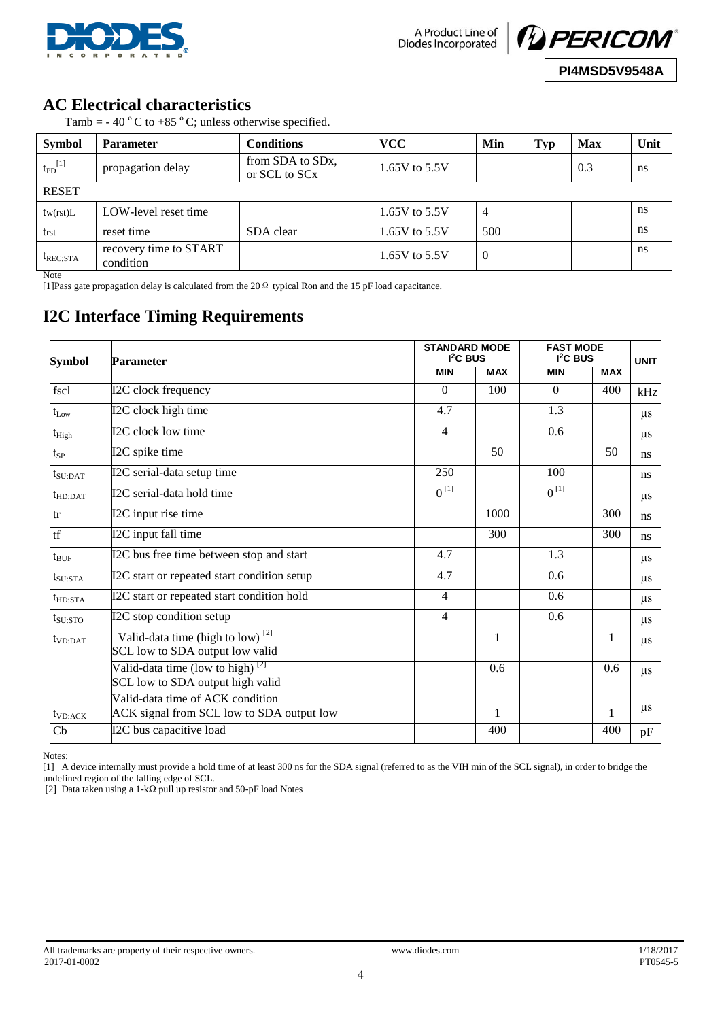



## **AC Electrical characteristics**

Tamb = - 40  $^{\circ}$  C to +85  $^{\circ}$  C; unless otherwise specified.

| <b>Symbol</b>           | <b>Parameter</b>                    | Conditions                                                 | <b>VCC</b>      | Min            | Typ | <b>Max</b> | Unit |
|-------------------------|-------------------------------------|------------------------------------------------------------|-----------------|----------------|-----|------------|------|
| $t_{PD}$ <sup>[1]</sup> | propagation delay                   | from SDA to SD <sub>x</sub> ,<br>or SCL to SC <sub>x</sub> | 1.65V to $5.5V$ |                |     | 0.3        | ns   |
| <b>RESET</b>            |                                     |                                                            |                 |                |     |            |      |
| tw(rst)L                | LOW-level reset time                |                                                            | 1.65V to 5.5V   | $\overline{4}$ |     |            | ns   |
| trst                    | reset time                          | SDA clear                                                  | 1.65V to $5.5V$ | 500            |     |            | ns   |
| $t_{REC;STA}$           | recovery time to START<br>condition |                                                            | 1.65V to $5.5V$ | $\overline{0}$ |     |            | ns   |

Note

[1]Pass gate propagation delay is calculated from the 20Ω typical Ron and the 15 pF load capacitance.

# **I2C Interface Timing Requirements**

| Symbol               | <b>Parameter</b>                                                                              | <b>STANDARD MODE</b><br>$I2C$ BUS | <b>FAST MODE</b><br>$I2C$ BUS | <b>UNIT</b> |            |               |
|----------------------|-----------------------------------------------------------------------------------------------|-----------------------------------|-------------------------------|-------------|------------|---------------|
|                      |                                                                                               | <b>MIN</b>                        | <b>MAX</b>                    | <b>MIN</b>  | <b>MAX</b> |               |
| fscl                 | I2C clock frequency                                                                           | $\Omega$                          | 100                           | $\theta$    | 400        | kHz           |
| $t_{Low}$            | I2C clock high time                                                                           | 4.7                               |                               | 1.3         |            | $\mu$ s       |
| $t_{High}$           | I2C clock low time                                                                            | 4                                 |                               | 0.6         |            | $\mu$ s       |
| $t_{SP}$             | I2C spike time                                                                                |                                   | 50                            |             | 50         | ns            |
| $t_{\text{SU:DAT}}$  | I2C serial-data setup time                                                                    | 250                               |                               | 100         |            | <sub>ns</sub> |
| $t_{HD:DAT}$         | I2C serial-data hold time                                                                     | $0^{[1]}$                         |                               | $0^{[1]}$   |            | $\mu$ s       |
| tr                   | I2C input rise time                                                                           |                                   | 1000                          |             | 300        | ns            |
| tf                   | I2C input fall time                                                                           |                                   | 300                           |             | 300        | ns            |
| $t_{\text{BUF}}$     | I2C bus free time between stop and start                                                      | 4.7                               |                               | 1.3         |            | $\mu$ s       |
| $t_{\rm SU:STA}$     | I2C start or repeated start condition setup                                                   | 4.7                               |                               | 0.6         |            | $\mu$ s       |
| $t_{HD:STA}$         | I2C start or repeated start condition hold                                                    | $\overline{4}$                    |                               | 0.6         |            | $\mu$ s       |
| $t_{\rm SU:STO}$     | I2C stop condition setup                                                                      | 4                                 |                               | 0.6         |            | $\mu$ s       |
| t <sub>VD:DATA</sub> | Valid-data time (high to $\overline{low}$ ) <sup>[2]</sup><br>SCL low to SDA output low valid |                                   | $\mathbf{1}$                  |             | 1          | $\mu$ s       |
|                      | Valid-data time (low to high) $^{[2]}$<br>SCL low to SDA output high valid                    |                                   | 0.6                           |             | 0.6        | $\mu$ s       |
| $t_{VD:ACK}$         | Valid-data time of ACK condition<br>ACK signal from SCL low to SDA output low                 |                                   | 1                             |             | 1          | $\mu$ s       |
| Cb                   | I2C bus capacitive load                                                                       |                                   | 400                           |             | 400        | pF            |

Notes:

[1] A device internally must provide a hold time of at least 300 ns for the SDA signal (referred to as the VIH min of the SCL signal), in order to bridge the undefined region of the falling edge of SCL.

[2] Data taken using a 1-kΩ pull up resistor and 50-pF load Notes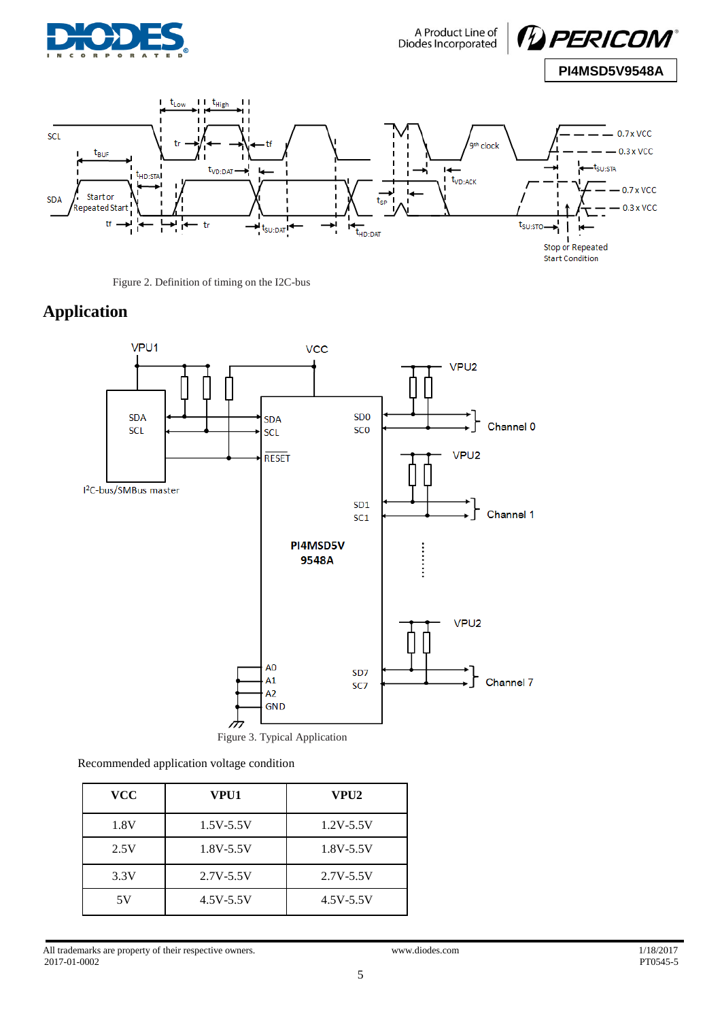

A Product Line of<br>Diodes Incorporated





Figure 2. Definition of timing on the I2C-bus

# **Application**



Recommended application voltage condition

| <b>VCC</b> | VPU1          | VPU2          |
|------------|---------------|---------------|
| 1.8V       | $1.5V - 5.5V$ | $1.2V - 5.5V$ |
| 2.5V       | $1.8V - 5.5V$ | $1.8V - 5.5V$ |
| 3.3V       | $2.7V - 5.5V$ | $2.7V - 5.5V$ |
| 5V         | $4.5V - 5.5V$ | $4.5V - 5.5V$ |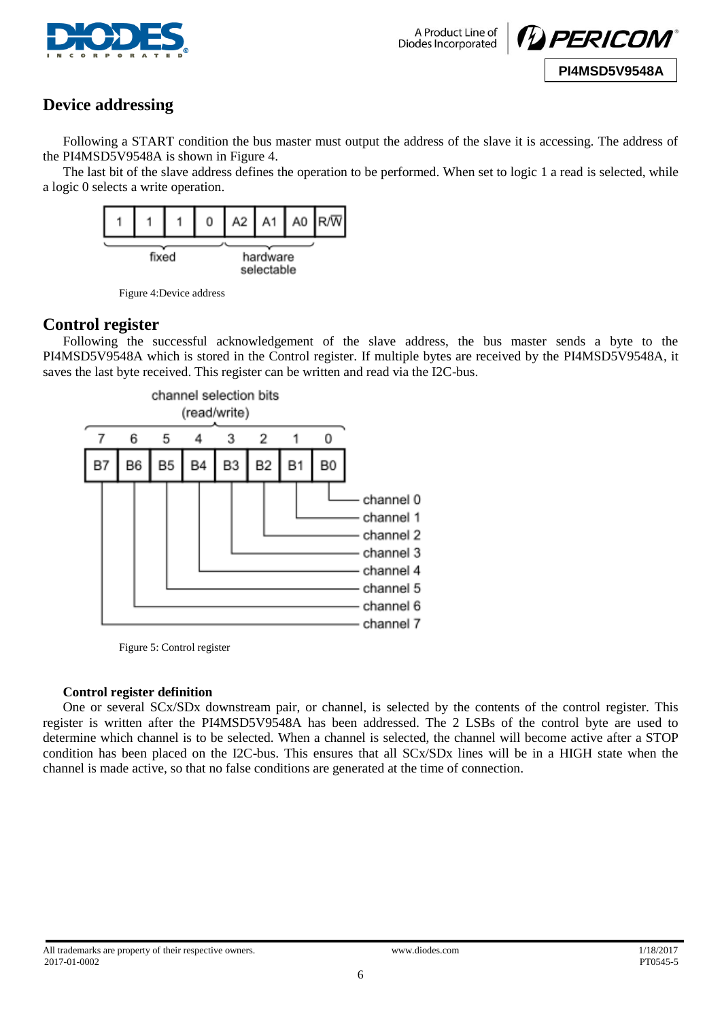

A Product Line of Diodes Incorporated



## **Device addressing**

Following a START condition the bus master must output the address of the slave it is accessing. The address of the PI4MSD5V9548A is shown in Figure 4.

The last bit of the slave address defines the operation to be performed. When set to logic 1 a read is selected, while a logic 0 selects a write operation.



Figure 4:Device address

#### **Control register**

Following the successful acknowledgement of the slave address, the bus master sends a byte to the PI4MSD5V9548A which is stored in the Control register. If multiple bytes are received by the PI4MSD5V9548A, it saves the last byte received. This register can be written and read via the I2C-bus.



Figure 5: Control register

#### **Control register definition**

One or several SCx/SDx downstream pair, or channel, is selected by the contents of the control register. This register is written after the PI4MSD5V9548A has been addressed. The 2 LSBs of the control byte are used to determine which channel is to be selected. When a channel is selected, the channel will become active after a STOP condition has been placed on the I2C-bus. This ensures that all SCx/SDx lines will be in a HIGH state when the channel is made active, so that no false conditions are generated at the time of connection.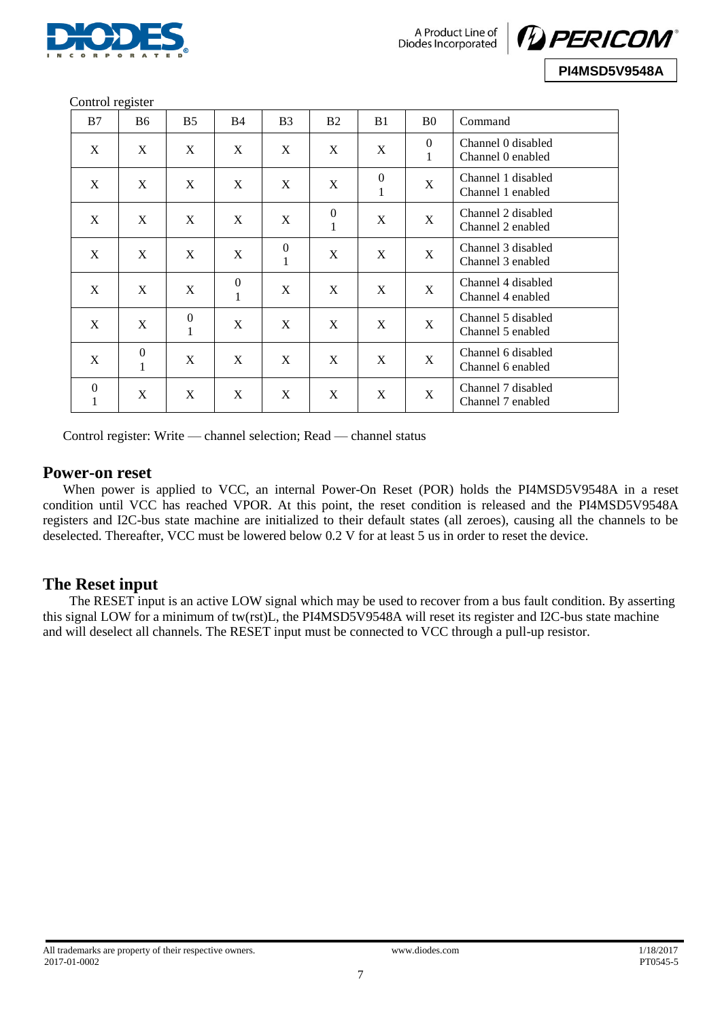



Control register

| B7                  | <b>B6</b>                        | B <sub>5</sub>                   | B <sub>4</sub>                   | B <sub>3</sub>               | B <sub>2</sub>                   | B <sub>1</sub>                 | B <sub>0</sub>                 | Command                                 |
|---------------------|----------------------------------|----------------------------------|----------------------------------|------------------------------|----------------------------------|--------------------------------|--------------------------------|-----------------------------------------|
| X                   | X                                | X                                | X                                | X                            | X                                | X                              | $\overline{0}$<br>$\mathbf{1}$ | Channel 0 disabled<br>Channel 0 enabled |
| X                   | X                                | X                                | X                                | X                            | $\mathbf X$                      | $\overline{0}$<br>$\mathbf{1}$ | $\mathbf X$                    | Channel 1 disabled<br>Channel 1 enabled |
| X                   | X                                | X                                | X                                | X                            | $\boldsymbol{0}$<br>$\mathbf{1}$ | X                              | $\mathbf X$                    | Channel 2 disabled<br>Channel 2 enabled |
| X                   | X                                | X                                | X                                | $\mathbf{0}$<br>$\mathbf{1}$ | X                                | X                              | X                              | Channel 3 disabled<br>Channel 3 enabled |
| X                   | X                                | X                                | $\boldsymbol{0}$<br>$\mathbf{1}$ | X                            | X                                | X                              | X                              | Channel 4 disabled<br>Channel 4 enabled |
| X                   | X                                | $\boldsymbol{0}$<br>$\mathbf{1}$ | X                                | X                            | X                                | X                              | $\mathbf X$                    | Channel 5 disabled<br>Channel 5 enabled |
| X                   | $\boldsymbol{0}$<br>$\mathbf{1}$ | $\mathbf X$                      | X                                | X                            | X                                | X                              | X                              | Channel 6 disabled<br>Channel 6 enabled |
| $\overline{0}$<br>1 | X                                | X                                | X                                | X                            | X                                | X                              | X                              | Channel 7 disabled<br>Channel 7 enabled |

Control register: Write — channel selection; Read — channel status

#### **Power-on reset**

When power is applied to VCC, an internal Power-On Reset (POR) holds the PI4MSD5V9548A in a reset condition until VCC has reached VPOR. At this point, the reset condition is released and the PI4MSD5V9548A registers and I2C-bus state machine are initialized to their default states (all zeroes), causing all the channels to be deselected. Thereafter, VCC must be lowered below 0.2 V for at least 5 us in order to reset the device.

## **The Reset input**

The RESET input is an active LOW signal which may be used to recover from a bus fault condition. By asserting this signal LOW for a minimum of tw(rst)L, the PI4MSD5V9548A will reset its register and I2C-bus state machine and will deselect all channels. The RESET input must be connected to VCC through a pull-up resistor.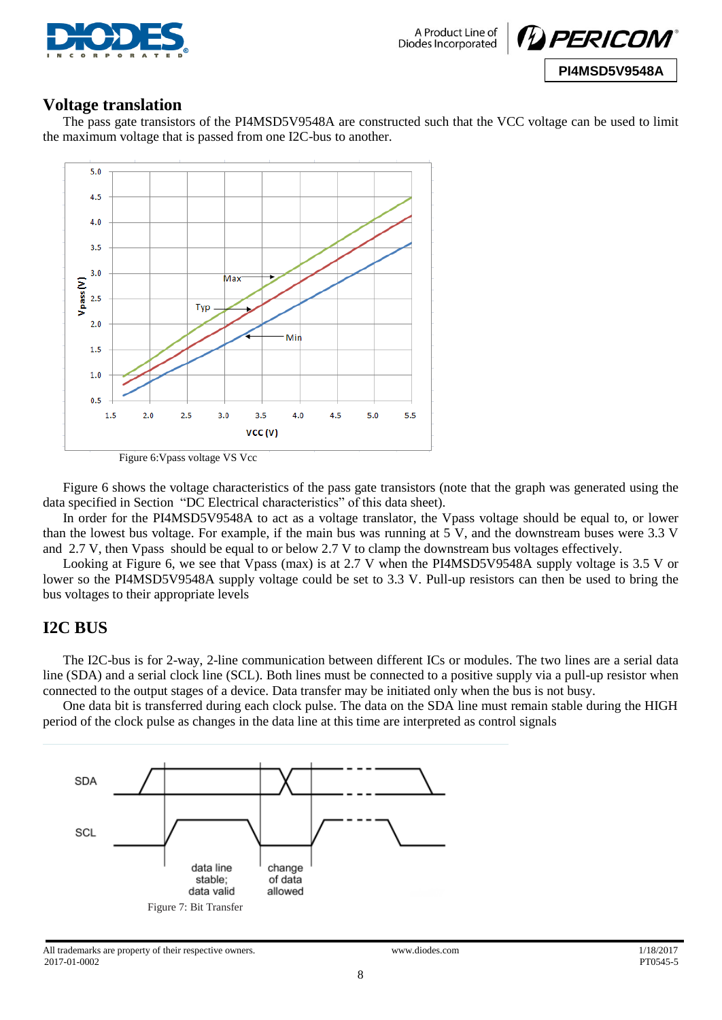



#### **Voltage translation**

The pass gate transistors of the PI4MSD5V9548A are constructed such that the VCC voltage can be used to limit the maximum voltage that is passed from one I2C-bus to another.



Figure 6:Vpass voltage VS Vcc

Figure 6 shows the voltage characteristics of the pass gate transistors (note that the graph was generated using the data specified in Section "DC Electrical characteristics" of this data sheet).

In order for the PI4MSD5V9548A to act as a voltage translator, the Vpass voltage should be equal to, or lower than the lowest bus voltage. For example, if the main bus was running at 5 V, and the downstream buses were 3.3 V and 2.7 V, then Vpass should be equal to or below 2.7 V to clamp the downstream bus voltages effectively.

Looking at Figure 6, we see that Vpass (max) is at 2.7 V when the PI4MSD5V9548A supply voltage is 3.5 V or lower so the PI4MSD5V9548A supply voltage could be set to 3.3 V. Pull-up resistors can then be used to bring the bus voltages to their appropriate levels

## **I2C BUS**

The I2C-bus is for 2-way, 2-line communication between different ICs or modules. The two lines are a serial data line (SDA) and a serial clock line (SCL). Both lines must be connected to a positive supply via a pull-up resistor when connected to the output stages of a device. Data transfer may be initiated only when the bus is not busy.

One data bit is transferred during each clock pulse. The data on the SDA line must remain stable during the HIGH period of the clock pulse as changes in the data line at this time are interpreted as control signals

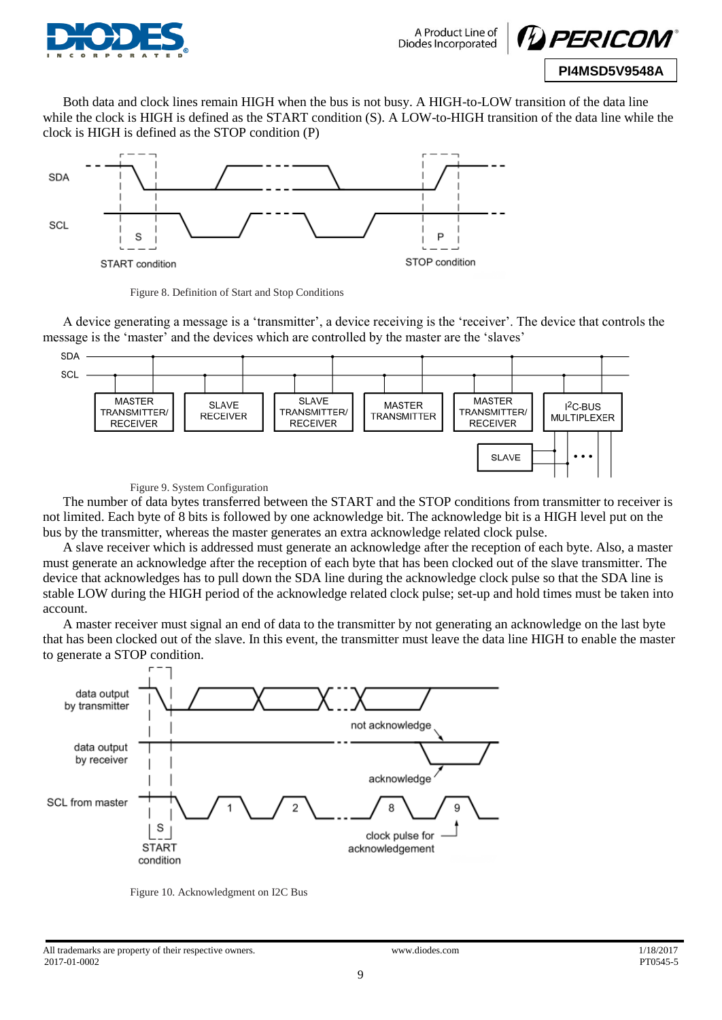



Both data and clock lines remain HIGH when the bus is not busy. A HIGH-to-LOW transition of the data line while the clock is HIGH is defined as the START condition (S). A LOW-to-HIGH transition of the data line while the clock is HIGH is defined as the STOP condition (P)



Figure 8. Definition of Start and Stop Conditions

A device generating a message is a 'transmitter', a device receiving is the 'receiver'. The device that controls the message is the 'master' and the devices which are controlled by the master are the 'slaves'



Figure 9. System Configuration

The number of data bytes transferred between the START and the STOP conditions from transmitter to receiver is not limited. Each byte of 8 bits is followed by one acknowledge bit. The acknowledge bit is a HIGH level put on the bus by the transmitter, whereas the master generates an extra acknowledge related clock pulse.

A slave receiver which is addressed must generate an acknowledge after the reception of each byte. Also, a master must generate an acknowledge after the reception of each byte that has been clocked out of the slave transmitter. The device that acknowledges has to pull down the SDA line during the acknowledge clock pulse so that the SDA line is stable LOW during the HIGH period of the acknowledge related clock pulse; set-up and hold times must be taken into account.

A master receiver must signal an end of data to the transmitter by not generating an acknowledge on the last byte that has been clocked out of the slave. In this event, the transmitter must leave the data line HIGH to enable the master to generate a STOP condition.



Figure 10. Acknowledgment on I2C Bus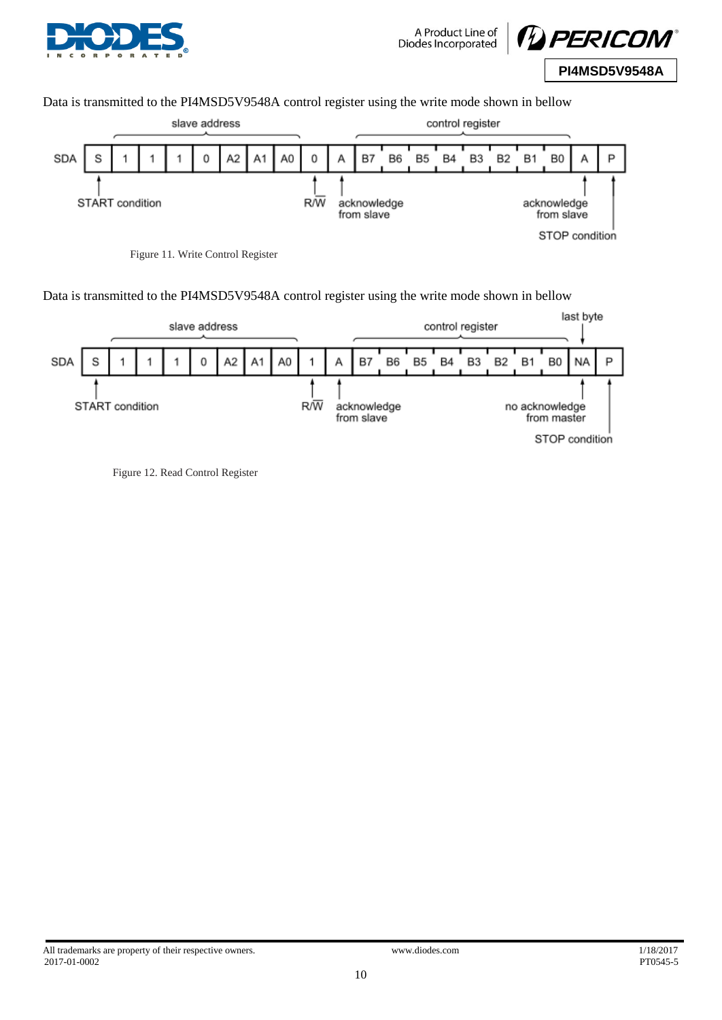



Data is transmitted to the PI4MSD5V9548A control register using the write mode shown in bellow



Data is transmitted to the PI4MSD5V9548A control register using the write mode shown in bellow



Figure 12. Read Control Register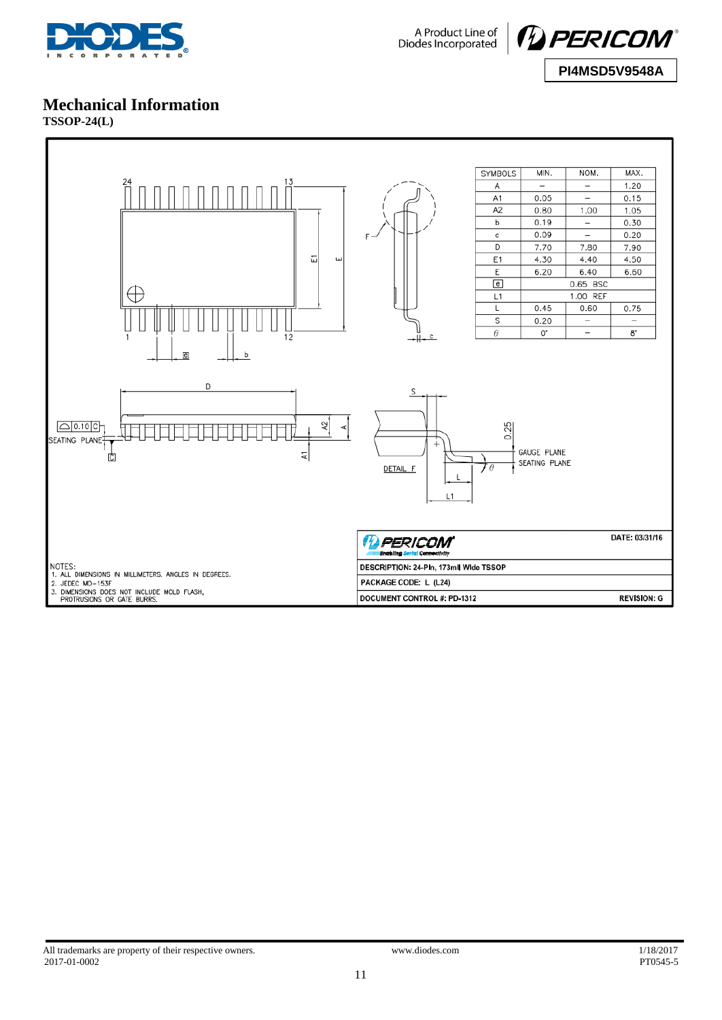



# **Mechanical Information**

**TSSOP-24(L)**

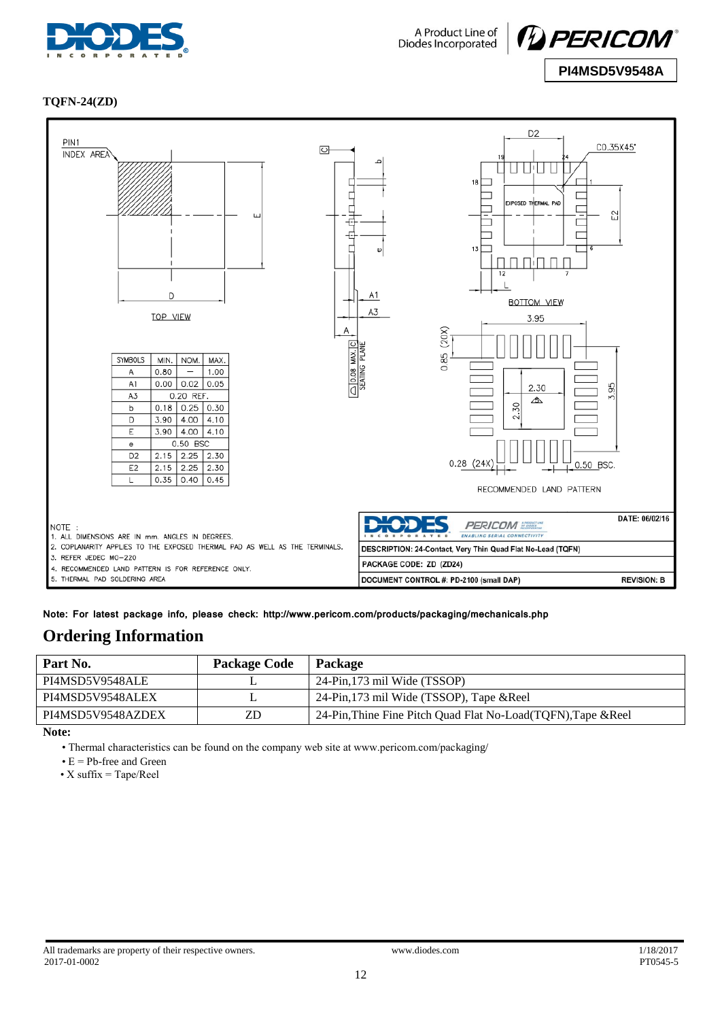



#### **TQFN-24(ZD)**



**Note: For latest package info, please check: http://www.pericom.com/products/packaging/mechanicals.php**

## **Ordering Information**

| Part No.          | <b>Package Code</b> | Package                                                        |
|-------------------|---------------------|----------------------------------------------------------------|
| PI4MSD5V9548ALE   |                     | 24-Pin, 173 mil Wide (TSSOP)                                   |
| PI4MSD5V9548ALEX  |                     | 24-Pin, 173 mil Wide (TSSOP), Tape & Reel                      |
| PI4MSD5V9548AZDEX | ZD                  | 24-Pin, Thine Fine Pitch Quad Flat No-Load (TOFN), Tape & Reel |
|                   |                     |                                                                |

**Note:** 

• Thermal characteristics can be found on the company web site at www.pericom.com/packaging/

 $\bullet$  E = Pb-free and Green

• X suffix = Tape/Reel